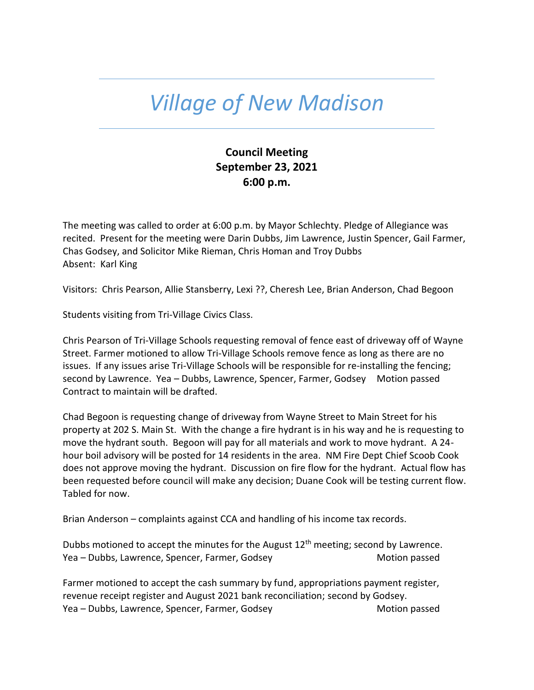# *Village of New Madison*

# **Council Meeting September 23, 2021 6:00 p.m.**

The meeting was called to order at 6:00 p.m. by Mayor Schlechty. Pledge of Allegiance was recited. Present for the meeting were Darin Dubbs, Jim Lawrence, Justin Spencer, Gail Farmer, Chas Godsey, and Solicitor Mike Rieman, Chris Homan and Troy Dubbs Absent: Karl King

Visitors: Chris Pearson, Allie Stansberry, Lexi ??, Cheresh Lee, Brian Anderson, Chad Begoon

Students visiting from Tri-Village Civics Class.

Chris Pearson of Tri-Village Schools requesting removal of fence east of driveway off of Wayne Street. Farmer motioned to allow Tri-Village Schools remove fence as long as there are no issues. If any issues arise Tri-Village Schools will be responsible for re-installing the fencing; second by Lawrence. Yea – Dubbs, Lawrence, Spencer, Farmer, Godsey Motion passed Contract to maintain will be drafted.

Chad Begoon is requesting change of driveway from Wayne Street to Main Street for his property at 202 S. Main St. With the change a fire hydrant is in his way and he is requesting to move the hydrant south. Begoon will pay for all materials and work to move hydrant. A 24 hour boil advisory will be posted for 14 residents in the area. NM Fire Dept Chief Scoob Cook does not approve moving the hydrant. Discussion on fire flow for the hydrant. Actual flow has been requested before council will make any decision; Duane Cook will be testing current flow. Tabled for now.

Brian Anderson – complaints against CCA and handling of his income tax records.

Dubbs motioned to accept the minutes for the August  $12<sup>th</sup>$  meeting; second by Lawrence. Yea – Dubbs, Lawrence, Spencer, Farmer, Godsey Motion passed

Farmer motioned to accept the cash summary by fund, appropriations payment register, revenue receipt register and August 2021 bank reconciliation; second by Godsey. Yea – Dubbs, Lawrence, Spencer, Farmer, Godsey Motion passed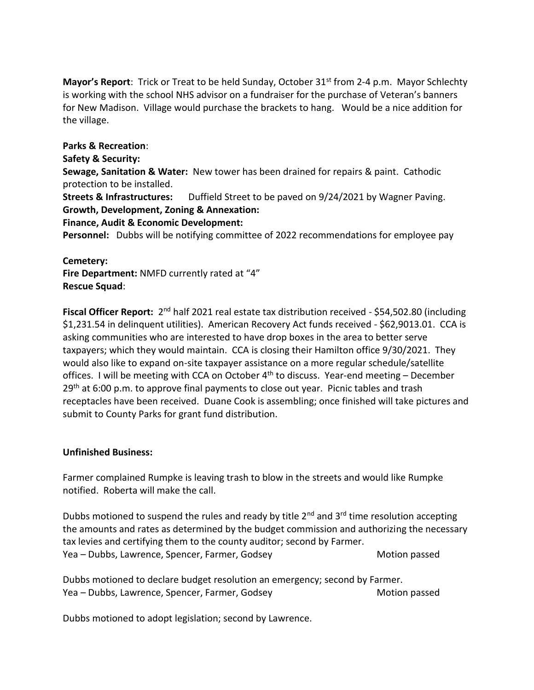Mayor's Report: Trick or Treat to be held Sunday, October 31<sup>st</sup> from 2-4 p.m. Mayor Schlechty is working with the school NHS advisor on a fundraiser for the purchase of Veteran's banners for New Madison. Village would purchase the brackets to hang. Would be a nice addition for the village.

**Parks & Recreation**:

**Safety & Security:**

**Sewage, Sanitation & Water:** New tower has been drained for repairs & paint. Cathodic protection to be installed.

**Streets & Infrastructures:** Duffield Street to be paved on 9/24/2021 by Wagner Paving. **Growth, Development, Zoning & Annexation:** 

## **Finance, Audit & Economic Development:**

**Personnel:** Dubbs will be notifying committee of 2022 recommendations for employee pay

### **Cemetery:**

**Fire Department:** NMFD currently rated at "4" **Rescue Squad**:

Fiscal Officer Report: 2<sup>nd</sup> half 2021 real estate tax distribution received - \$54,502.80 (including \$1,231.54 in delinquent utilities). American Recovery Act funds received - \$62,9013.01. CCA is asking communities who are interested to have drop boxes in the area to better serve taxpayers; which they would maintain. CCA is closing their Hamilton office 9/30/2021. They would also like to expand on-site taxpayer assistance on a more regular schedule/satellite offices. I will be meeting with CCA on October  $4<sup>th</sup>$  to discuss. Year-end meeting – December 29<sup>th</sup> at 6:00 p.m. to approve final payments to close out year. Picnic tables and trash receptacles have been received. Duane Cook is assembling; once finished will take pictures and submit to County Parks for grant fund distribution.

### **Unfinished Business:**

Farmer complained Rumpke is leaving trash to blow in the streets and would like Rumpke notified. Roberta will make the call.

Dubbs motioned to suspend the rules and ready by title  $2^{nd}$  and  $3^{rd}$  time resolution accepting the amounts and rates as determined by the budget commission and authorizing the necessary tax levies and certifying them to the county auditor; second by Farmer. Yea – Dubbs, Lawrence, Spencer, Farmer, Godsey Mothom Motion passed

Dubbs motioned to declare budget resolution an emergency; second by Farmer. Yea – Dubbs, Lawrence, Spencer, Farmer, Godsey Mother Motion passed

Dubbs motioned to adopt legislation; second by Lawrence.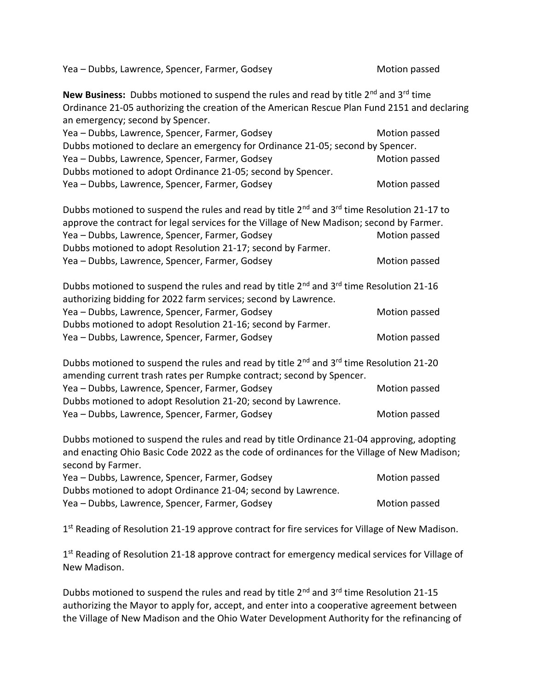Yea – Dubbs, Lawrence, Spencer, Farmer, Godsey Motion passed Motion passed

**New Business:** Dubbs motioned to suspend the rules and read by title 2<sup>nd</sup> and 3<sup>rd</sup> time Ordinance 21-05 authorizing the creation of the American Rescue Plan Fund 2151 and declaring an emergency; second by Spencer. Yea – Dubbs, Lawrence, Spencer, Farmer, Godsey Motion passed Motion passed Dubbs motioned to declare an emergency for Ordinance 21-05; second by Spencer. Yea – Dubbs, Lawrence, Spencer, Farmer, Godsey Mother Motion passed Dubbs motioned to adopt Ordinance 21-05; second by Spencer. Yea – Dubbs, Lawrence, Spencer, Farmer, Godsey Mother Motion passed Dubbs motioned to suspend the rules and read by title 2<sup>nd</sup> and 3<sup>rd</sup> time Resolution 21-17 to approve the contract for legal services for the Village of New Madison; second by Farmer. Yea – Dubbs, Lawrence, Spencer, Farmer, Godsey Mothom Motion passed Dubbs motioned to adopt Resolution 21-17; second by Farmer. Yea – Dubbs, Lawrence, Spencer, Farmer, Godsey Motion passed Motion passed Dubbs motioned to suspend the rules and read by title  $2^{nd}$  and  $3^{rd}$  time Resolution 21-16 authorizing bidding for 2022 farm services; second by Lawrence. Yea – Dubbs, Lawrence, Spencer, Farmer, Godsey Motion passed Dubbs motioned to adopt Resolution 21-16; second by Farmer. Yea – Dubbs, Lawrence, Spencer, Farmer, Godsey Motion passed Motion passed Dubbs motioned to suspend the rules and read by title  $2^{nd}$  and  $3^{rd}$  time Resolution 21-20 amending current trash rates per Rumpke contract; second by Spencer. Yea – Dubbs, Lawrence, Spencer, Farmer, Godsey Mother Motion passed Dubbs motioned to adopt Resolution 21-20; second by Lawrence. Yea – Dubbs, Lawrence, Spencer, Farmer, Godsey Mother Motion passed

Dubbs motioned to suspend the rules and read by title Ordinance 21-04 approving, adopting and enacting Ohio Basic Code 2022 as the code of ordinances for the Village of New Madison; second by Farmer.

| Yea – Dubbs, Lawrence, Spencer, Farmer, Godsey               | Motion passed |
|--------------------------------------------------------------|---------------|
| Dubbs motioned to adopt Ordinance 21-04; second by Lawrence. |               |
| Yea – Dubbs, Lawrence, Spencer, Farmer, Godsey               | Motion passed |

1<sup>st</sup> Reading of Resolution 21-19 approve contract for fire services for Village of New Madison.

1<sup>st</sup> Reading of Resolution 21-18 approve contract for emergency medical services for Village of New Madison.

Dubbs motioned to suspend the rules and read by title  $2^{nd}$  and  $3^{rd}$  time Resolution 21-15 authorizing the Mayor to apply for, accept, and enter into a cooperative agreement between the Village of New Madison and the Ohio Water Development Authority for the refinancing of